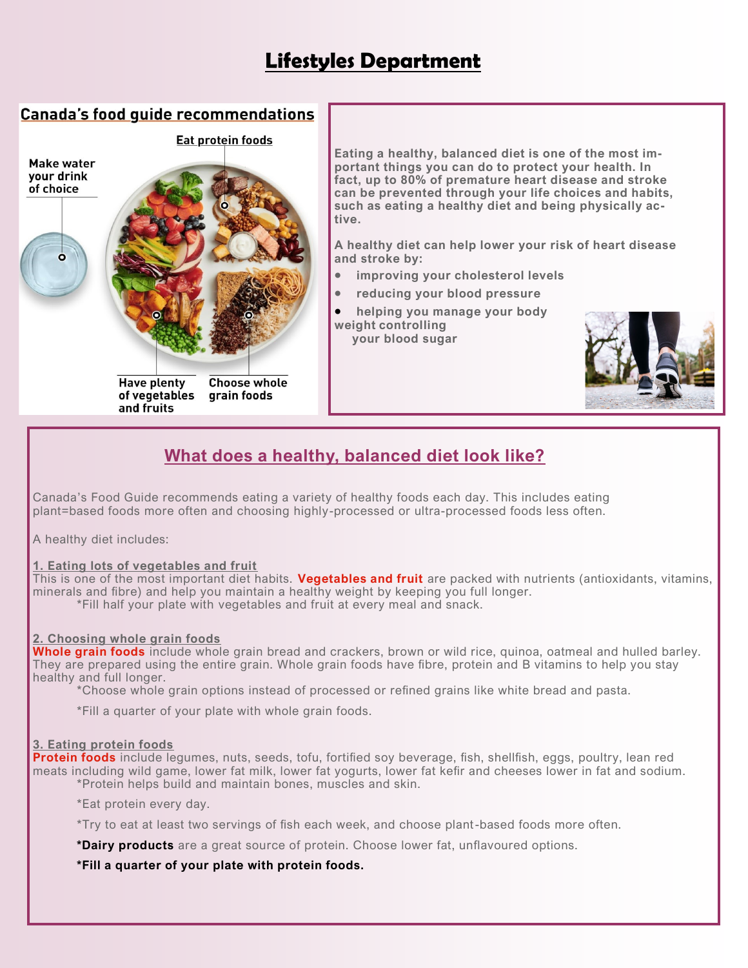# **Lifestyles Department**

### **Canada's food quide recommendations**



**Eating a healthy, balanced diet is one of the most important things you can do to protect your health. In fact, up to 80% of premature heart disease and stroke can be prevented through your life choices and habits, such as eating a healthy diet and being physically ac-**

**A healthy diet can help lower your risk of heart disease** 

- **improving your cholesterol levels**
- **reducing your blood pressure**
- **helping you manage your body**



## **What does a healthy, balanced diet look like?**

Canada's Food Guide recommends eating a variety of healthy foods each day. This includes eating plant=based foods more often and choosing highly-processed or ultra-processed foods less often.

A healthy diet includes:

#### **1. Eating lots of vegetables and fruit**

This is one of the most important diet habits. **[Vegetables and fruit](https://www.heartandstroke.ca/healthy-living/healthy-eating/vegetables-and-fruit)** are packed with nutrients (antioxidants, vitamins, minerals and fibre) and help you maintain a healthy weight by keeping you full longer. \*Fill half your plate with vegetables and fruit at every meal and snack.

#### **2. Choosing whole grain foods**

**[Whole grain foods](https://www.heartandstroke.ca/healthy-living/healthy-eating/fibre-and-whole-grains)** include whole grain bread and crackers, brown or wild rice, quinoa, oatmeal and hulled barley. They are prepared using the entire grain. Whole grain foods have fibre, protein and B vitamins to help you stay healthy and full longer.

\*Choose whole grain options instead of processed or refined grains like white bread and pasta.

\*Fill a quarter of your plate with whole grain foods.

#### **3. Eating protein foods**

**[Protein foods](https://www.heartandstroke.ca/healthy-living/healthy-eating/protein)** include legumes, nuts, seeds, tofu, fortified soy beverage, fish, shellfish, eggs, poultry, lean red meats including wild game, lower fat milk, lower fat yogurts, lower fat kefir and cheeses lower in fat and sodium. \*Protein helps build and maintain bones, muscles and skin.

\*Eat protein every day.

\*Try to eat at least two servings of fish each week, and choose plant-based foods more often.

**\*Dairy products** are a great source of protein. Choose lower fat, unflavoured options.

**\*Fill a quarter of your plate with protein foods.**